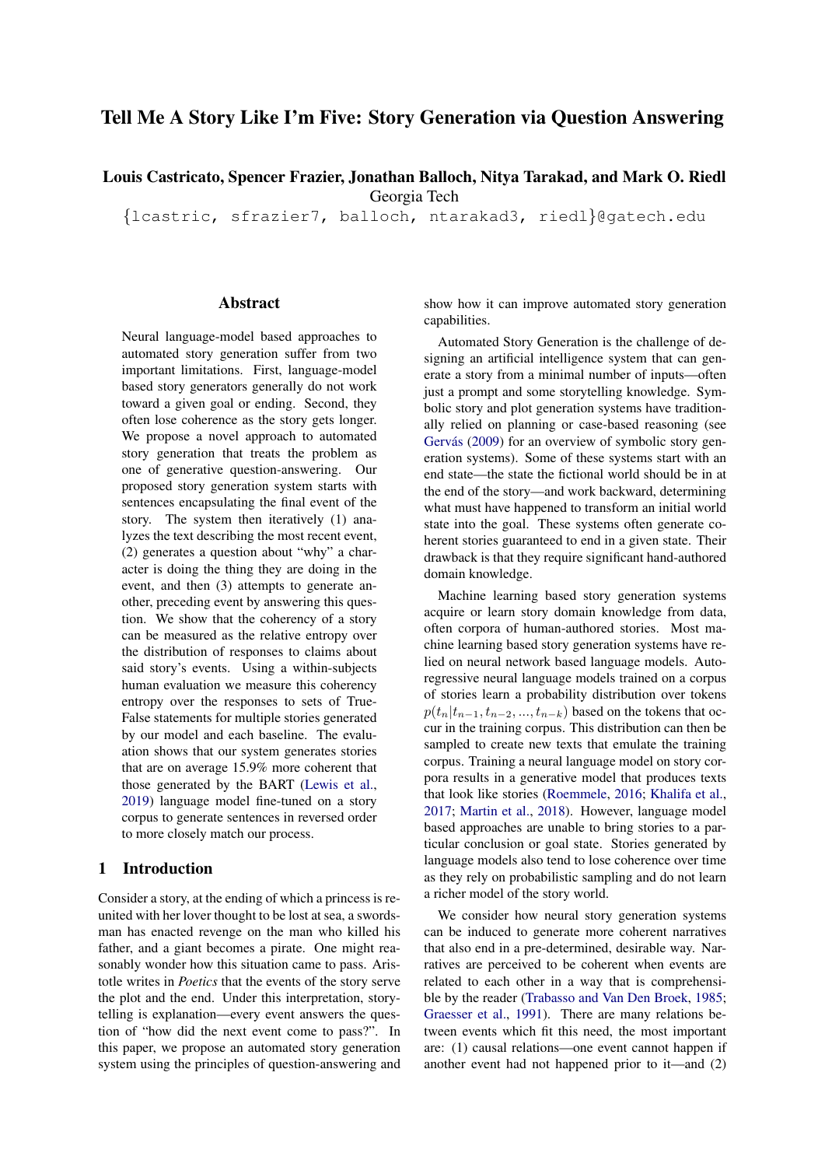# Tell Me A Story Like I'm Five: Story Generation via Question Answering

Louis Castricato, Spencer Frazier, Jonathan Balloch, Nitya Tarakad, and Mark O. Riedl Georgia Tech

{lcastric, sfrazier7, balloch, ntarakad3, riedl}@gatech.edu

### Abstract

Neural language-model based approaches to automated story generation suffer from two important limitations. First, language-model based story generators generally do not work toward a given goal or ending. Second, they often lose coherence as the story gets longer. We propose a novel approach to automated story generation that treats the problem as one of generative question-answering. Our proposed story generation system starts with sentences encapsulating the final event of the story. The system then iteratively (1) analyzes the text describing the most recent event, (2) generates a question about "why" a character is doing the thing they are doing in the event, and then (3) attempts to generate another, preceding event by answering this question. We show that the coherency of a story can be measured as the relative entropy over the distribution of responses to claims about said story's events. Using a within-subjects human evaluation we measure this coherency entropy over the responses to sets of True-False statements for multiple stories generated by our model and each baseline. The evaluation shows that our system generates stories that are on average 15.9% more coherent that those generated by the BART [\(Lewis et al.,](#page-6-0) [2019\)](#page-6-0) language model fine-tuned on a story corpus to generate sentences in reversed order to more closely match our process.

# 1 Introduction

Consider a story, at the ending of which a princess is reunited with her lover thought to be lost at sea, a swordsman has enacted revenge on the man who killed his father, and a giant becomes a pirate. One might reasonably wonder how this situation came to pass. Aristotle writes in *Poetics* that the events of the story serve the plot and the end. Under this interpretation, storytelling is explanation—every event answers the question of "how did the next event come to pass?". In this paper, we propose an automated story generation system using the principles of question-answering and show how it can improve automated story generation capabilities.

Automated Story Generation is the challenge of designing an artificial intelligence system that can generate a story from a minimal number of inputs—often just a prompt and some storytelling knowledge. Symbolic story and plot generation systems have traditionally relied on planning or case-based reasoning (see Gervás [\(2009\)](#page-6-1) for an overview of symbolic story generation systems). Some of these systems start with an end state—the state the fictional world should be in at the end of the story—and work backward, determining what must have happened to transform an initial world state into the goal. These systems often generate coherent stories guaranteed to end in a given state. Their drawback is that they require significant hand-authored domain knowledge.

Machine learning based story generation systems acquire or learn story domain knowledge from data, often corpora of human-authored stories. Most machine learning based story generation systems have relied on neural network based language models. Autoregressive neural language models trained on a corpus of stories learn a probability distribution over tokens  $p(t_n|t_{n-1}, t_{n-2}, ..., t_{n-k})$  based on the tokens that occur in the training corpus. This distribution can then be sampled to create new texts that emulate the training corpus. Training a neural language model on story corpora results in a generative model that produces texts that look like stories [\(Roemmele,](#page-7-0) [2016;](#page-7-0) [Khalifa et al.,](#page-6-2) [2017;](#page-6-2) [Martin et al.,](#page-7-1) [2018\)](#page-7-1). However, language model based approaches are unable to bring stories to a particular conclusion or goal state. Stories generated by language models also tend to lose coherence over time as they rely on probabilistic sampling and do not learn a richer model of the story world.

We consider how neural story generation systems can be induced to generate more coherent narratives that also end in a pre-determined, desirable way. Narratives are perceived to be coherent when events are related to each other in a way that is comprehensible by the reader [\(Trabasso and Van Den Broek,](#page-7-2) [1985;](#page-7-2) [Graesser et al.,](#page-6-3) [1991\)](#page-6-3). There are many relations between events which fit this need, the most important are: (1) causal relations—one event cannot happen if another event had not happened prior to it—and (2)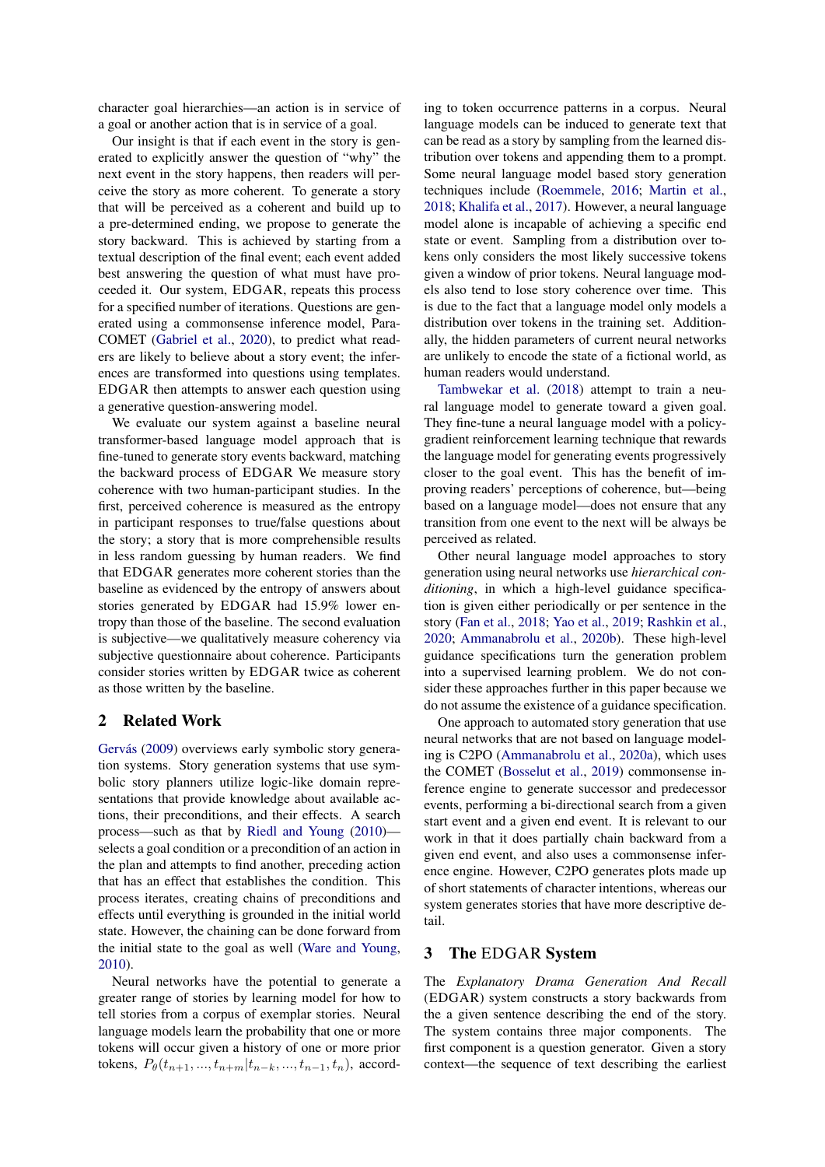character goal hierarchies—an action is in service of a goal or another action that is in service of a goal.

Our insight is that if each event in the story is generated to explicitly answer the question of "why" the next event in the story happens, then readers will perceive the story as more coherent. To generate a story that will be perceived as a coherent and build up to a pre-determined ending, we propose to generate the story backward. This is achieved by starting from a textual description of the final event; each event added best answering the question of what must have proceeded it. Our system, EDGAR, repeats this process for a specified number of iterations. Questions are generated using a commonsense inference model, Para-COMET [\(Gabriel et al.,](#page-6-4) [2020\)](#page-6-4), to predict what readers are likely to believe about a story event; the inferences are transformed into questions using templates. EDGAR then attempts to answer each question using a generative question-answering model.

We evaluate our system against a baseline neural transformer-based language model approach that is fine-tuned to generate story events backward, matching the backward process of EDGAR We measure story coherence with two human-participant studies. In the first, perceived coherence is measured as the entropy in participant responses to true/false questions about the story; a story that is more comprehensible results in less random guessing by human readers. We find that EDGAR generates more coherent stories than the baseline as evidenced by the entropy of answers about stories generated by EDGAR had 15.9% lower entropy than those of the baseline. The second evaluation is subjective—we qualitatively measure coherency via subjective questionnaire about coherence. Participants consider stories written by EDGAR twice as coherent as those written by the baseline.

# 2 Related Work

Gervás [\(2009\)](#page-6-1) overviews early symbolic story generation systems. Story generation systems that use symbolic story planners utilize logic-like domain representations that provide knowledge about available actions, their preconditions, and their effects. A search process—such as that by [Riedl and Young](#page-7-3) [\(2010\)](#page-7-3) selects a goal condition or a precondition of an action in the plan and attempts to find another, preceding action that has an effect that establishes the condition. This process iterates, creating chains of preconditions and effects until everything is grounded in the initial world state. However, the chaining can be done forward from the initial state to the goal as well [\(Ware and Young,](#page-7-4) [2010\)](#page-7-4).

Neural networks have the potential to generate a greater range of stories by learning model for how to tell stories from a corpus of exemplar stories. Neural language models learn the probability that one or more tokens will occur given a history of one or more prior tokens,  $P_{\theta}(t_{n+1},..., t_{n+m} | t_{n-k},..., t_{n-1}, t_n)$ , according to token occurrence patterns in a corpus. Neural language models can be induced to generate text that can be read as a story by sampling from the learned distribution over tokens and appending them to a prompt. Some neural language model based story generation techniques include [\(Roemmele,](#page-7-0) [2016;](#page-7-0) [Martin et al.,](#page-7-1) [2018;](#page-7-1) [Khalifa et al.,](#page-6-2) [2017\)](#page-6-2). However, a neural language model alone is incapable of achieving a specific end state or event. Sampling from a distribution over tokens only considers the most likely successive tokens given a window of prior tokens. Neural language models also tend to lose story coherence over time. This is due to the fact that a language model only models a distribution over tokens in the training set. Additionally, the hidden parameters of current neural networks are unlikely to encode the state of a fictional world, as human readers would understand.

[Tambwekar et al.](#page-7-5) [\(2018\)](#page-7-5) attempt to train a neural language model to generate toward a given goal. They fine-tune a neural language model with a policygradient reinforcement learning technique that rewards the language model for generating events progressively closer to the goal event. This has the benefit of improving readers' perceptions of coherence, but—being based on a language model—does not ensure that any transition from one event to the next will be always be perceived as related.

Other neural language model approaches to story generation using neural networks use *hierarchical conditioning*, in which a high-level guidance specification is given either periodically or per sentence in the story [\(Fan et al.,](#page-6-5) [2018;](#page-6-5) [Yao et al.,](#page-7-6) [2019;](#page-7-6) [Rashkin et al.,](#page-7-7) [2020;](#page-7-7) [Ammanabrolu et al.,](#page-6-6) [2020b\)](#page-6-6). These high-level guidance specifications turn the generation problem into a supervised learning problem. We do not consider these approaches further in this paper because we do not assume the existence of a guidance specification.

One approach to automated story generation that use neural networks that are not based on language modeling is C2PO [\(Ammanabrolu et al.,](#page-6-7) [2020a\)](#page-6-7), which uses the COMET [\(Bosselut et al.,](#page-6-8) [2019\)](#page-6-8) commonsense inference engine to generate successor and predecessor events, performing a bi-directional search from a given start event and a given end event. It is relevant to our work in that it does partially chain backward from a given end event, and also uses a commonsense inference engine. However, C2PO generates plots made up of short statements of character intentions, whereas our system generates stories that have more descriptive detail.

# 3 The EDGAR System

The *Explanatory Drama Generation And Recall* (EDGAR) system constructs a story backwards from the a given sentence describing the end of the story. The system contains three major components. The first component is a question generator. Given a story context—the sequence of text describing the earliest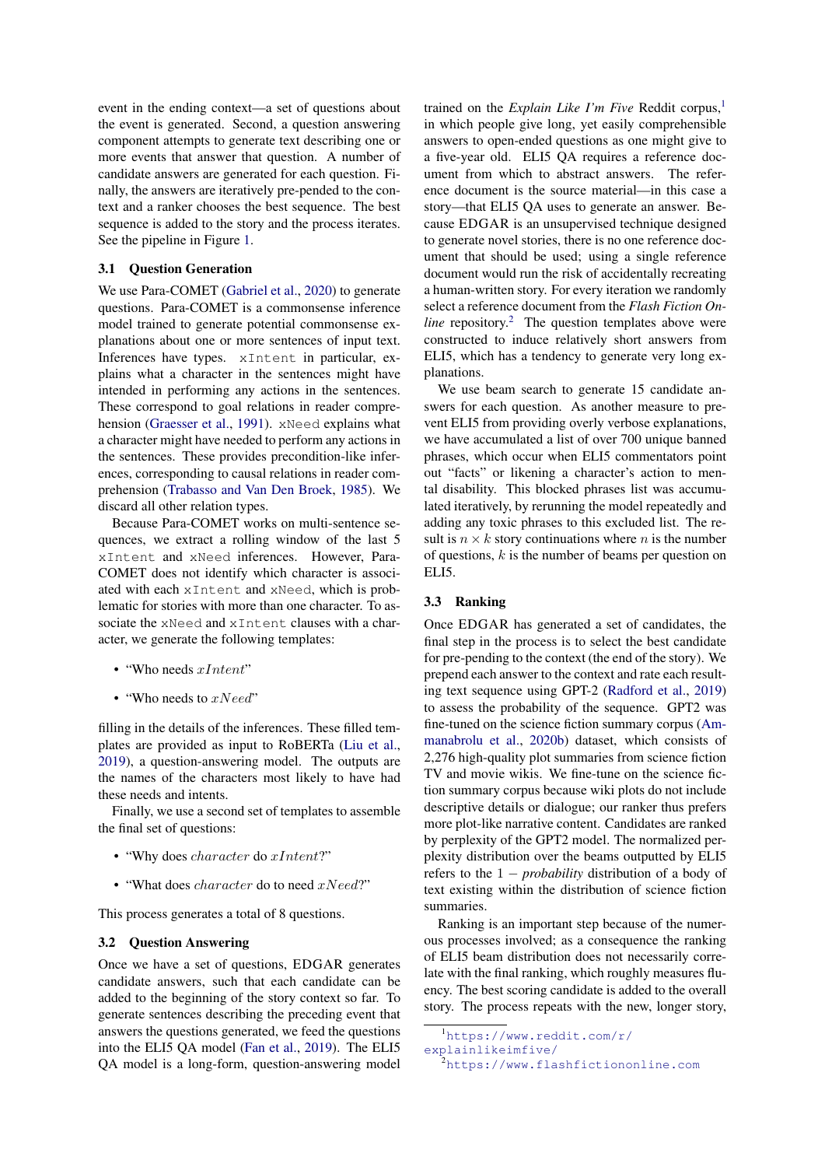event in the ending context—a set of questions about the event is generated. Second, a question answering component attempts to generate text describing one or more events that answer that question. A number of candidate answers are generated for each question. Finally, the answers are iteratively pre-pended to the context and a ranker chooses the best sequence. The best sequence is added to the story and the process iterates. See the pipeline in Figure [1.](#page-3-0)

## 3.1 Question Generation

We use Para-COMET [\(Gabriel et al.,](#page-6-4) [2020\)](#page-6-4) to generate questions. Para-COMET is a commonsense inference model trained to generate potential commonsense explanations about one or more sentences of input text. Inferences have types. xIntent in particular, explains what a character in the sentences might have intended in performing any actions in the sentences. These correspond to goal relations in reader comprehension [\(Graesser et al.,](#page-6-3) [1991\)](#page-6-3). xNeed explains what a character might have needed to perform any actions in the sentences. These provides precondition-like inferences, corresponding to causal relations in reader comprehension [\(Trabasso and Van Den Broek,](#page-7-2) [1985\)](#page-7-2). We discard all other relation types.

Because Para-COMET works on multi-sentence sequences, we extract a rolling window of the last 5 xIntent and xNeed inferences. However, Para-COMET does not identify which character is associated with each xIntent and xNeed, which is problematic for stories with more than one character. To associate the xNeed and xIntent clauses with a character, we generate the following templates:

- "Who needs  $xInternet$ "
- "Who needs to  $xNeed"$

filling in the details of the inferences. These filled templates are provided as input to RoBERTa [\(Liu et al.,](#page-7-8) [2019\)](#page-7-8), a question-answering model. The outputs are the names of the characters most likely to have had these needs and intents.

Finally, we use a second set of templates to assemble the final set of questions:

- "Why does character do xIntent?"
- "What does *character* do to need *xNeed?*"

This process generates a total of 8 questions.

#### 3.2 Question Answering

Once we have a set of questions, EDGAR generates candidate answers, such that each candidate can be added to the beginning of the story context so far. To generate sentences describing the preceding event that answers the questions generated, we feed the questions into the ELI5 QA model [\(Fan et al.,](#page-6-9) [2019\)](#page-6-9). The ELI5 QA model is a long-form, question-answering model

trained on the *Explain Like I'm Five* Reddit corpus,<sup>[1](#page-2-0)</sup> in which people give long, yet easily comprehensible answers to open-ended questions as one might give to a five-year old. ELI5 QA requires a reference document from which to abstract answers. The reference document is the source material—in this case a story—that ELI5 QA uses to generate an answer. Because EDGAR is an unsupervised technique designed to generate novel stories, there is no one reference document that should be used; using a single reference document would run the risk of accidentally recreating a human-written story. For every iteration we randomly select a reference document from the *Flash Fiction Online* repository.<sup>[2](#page-2-1)</sup> The question templates above were constructed to induce relatively short answers from ELI5, which has a tendency to generate very long explanations.

We use beam search to generate 15 candidate answers for each question. As another measure to prevent ELI5 from providing overly verbose explanations, we have accumulated a list of over 700 unique banned phrases, which occur when ELI5 commentators point out "facts" or likening a character's action to mental disability. This blocked phrases list was accumulated iteratively, by rerunning the model repeatedly and adding any toxic phrases to this excluded list. The result is  $n \times k$  story continuations where n is the number of questions,  $k$  is the number of beams per question on ELI5.

### 3.3 Ranking

Once EDGAR has generated a set of candidates, the final step in the process is to select the best candidate for pre-pending to the context (the end of the story). We prepend each answer to the context and rate each resulting text sequence using GPT-2 [\(Radford et al.,](#page-7-9) [2019\)](#page-7-9) to assess the probability of the sequence. GPT2 was fine-tuned on the science fiction summary corpus [\(Am](#page-6-6)[manabrolu et al.,](#page-6-6) [2020b\)](#page-6-6) dataset, which consists of 2,276 high-quality plot summaries from science fiction TV and movie wikis. We fine-tune on the science fiction summary corpus because wiki plots do not include descriptive details or dialogue; our ranker thus prefers more plot-like narrative content. Candidates are ranked by perplexity of the GPT2 model. The normalized perplexity distribution over the beams outputted by ELI5 refers to the 1 − *probability* distribution of a body of text existing within the distribution of science fiction summaries.

Ranking is an important step because of the numerous processes involved; as a consequence the ranking of ELI5 beam distribution does not necessarily correlate with the final ranking, which roughly measures fluency. The best scoring candidate is added to the overall story. The process repeats with the new, longer story,

<span id="page-2-0"></span><sup>1</sup>[https://www.reddit.com/r/](https://www.reddit.com/r/explainlikeimfive/)

[explainlikeimfive/](https://www.reddit.com/r/explainlikeimfive/)

<span id="page-2-1"></span><sup>.&</sup>lt;br><sup>2</sup><https://www.flashfictiononline.com>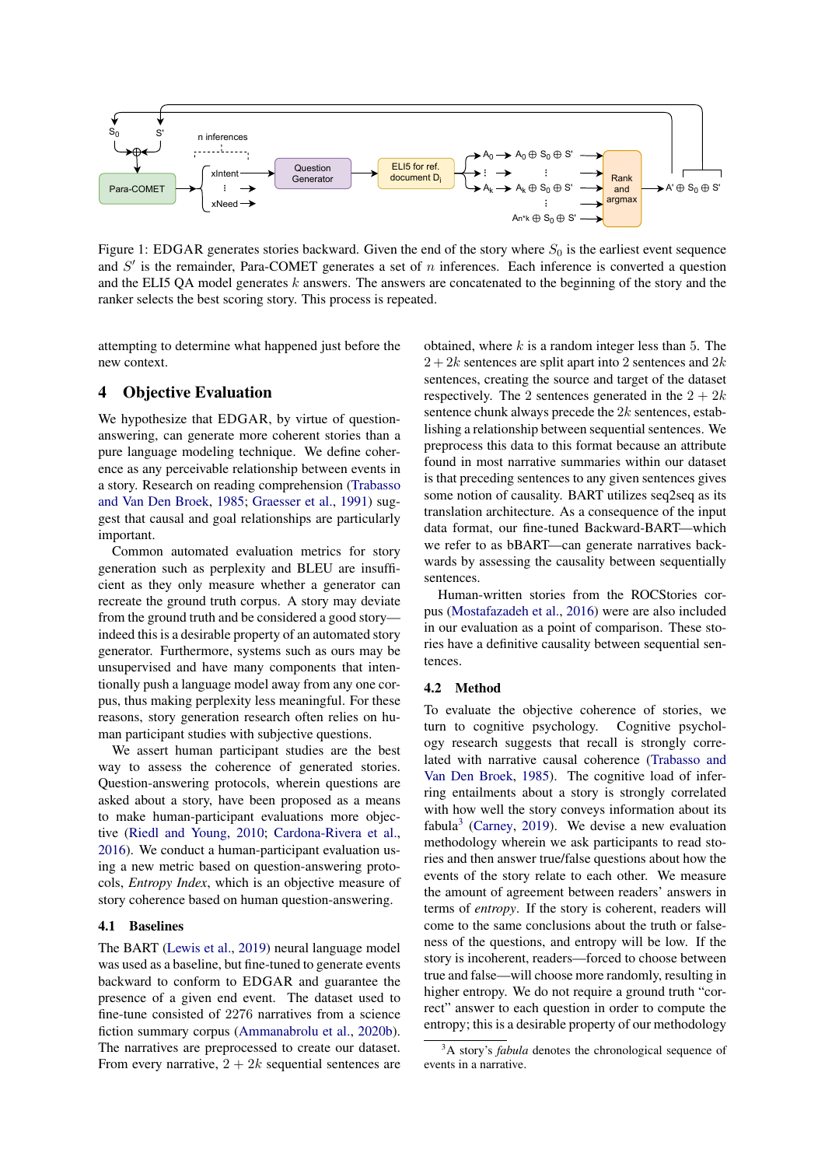<span id="page-3-0"></span>

Figure 1: EDGAR generates stories backward. Given the end of the story where  $S_0$  is the earliest event sequence and  $S'$  is the remainder, Para-COMET generates a set of  $n$  inferences. Each inference is converted a question and the ELI5 QA model generates k answers. The answers are concatenated to the beginning of the story and the ranker selects the best scoring story. This process is repeated.

attempting to determine what happened just before the new context.

# 4 Objective Evaluation

We hypothesize that EDGAR, by virtue of questionanswering, can generate more coherent stories than a pure language modeling technique. We define coherence as any perceivable relationship between events in a story. Research on reading comprehension [\(Trabasso](#page-7-2) [and Van Den Broek,](#page-7-2) [1985;](#page-7-2) [Graesser et al.,](#page-6-3) [1991\)](#page-6-3) suggest that causal and goal relationships are particularly important.

Common automated evaluation metrics for story generation such as perplexity and BLEU are insufficient as they only measure whether a generator can recreate the ground truth corpus. A story may deviate from the ground truth and be considered a good story indeed this is a desirable property of an automated story generator. Furthermore, systems such as ours may be unsupervised and have many components that intentionally push a language model away from any one corpus, thus making perplexity less meaningful. For these reasons, story generation research often relies on human participant studies with subjective questions.

We assert human participant studies are the best way to assess the coherence of generated stories. Question-answering protocols, wherein questions are asked about a story, have been proposed as a means to make human-participant evaluations more objective [\(Riedl and Young,](#page-7-3) [2010;](#page-7-3) [Cardona-Rivera et al.,](#page-6-10) [2016\)](#page-6-10). We conduct a human-participant evaluation using a new metric based on question-answering protocols, *Entropy Index*, which is an objective measure of story coherence based on human question-answering.

# 4.1 Baselines

The BART [\(Lewis et al.,](#page-6-0) [2019\)](#page-6-0) neural language model was used as a baseline, but fine-tuned to generate events backward to conform to EDGAR and guarantee the presence of a given end event. The dataset used to fine-tune consisted of 2276 narratives from a science fiction summary corpus [\(Ammanabrolu et al.,](#page-6-6) [2020b\)](#page-6-6). The narratives are preprocessed to create our dataset. From every narrative,  $2 + 2k$  sequential sentences are obtained, where  $k$  is a random integer less than 5. The  $2 + 2k$  sentences are split apart into 2 sentences and  $2k$ sentences, creating the source and target of the dataset respectively. The 2 sentences generated in the  $2 + 2k$ sentence chunk always precede the  $2k$  sentences, establishing a relationship between sequential sentences. We preprocess this data to this format because an attribute found in most narrative summaries within our dataset is that preceding sentences to any given sentences gives some notion of causality. BART utilizes seq2seq as its translation architecture. As a consequence of the input data format, our fine-tuned Backward-BART—which we refer to as bBART—can generate narratives backwards by assessing the causality between sequentially sentences.

Human-written stories from the ROCStories corpus [\(Mostafazadeh et al.,](#page-7-10) [2016\)](#page-7-10) were are also included in our evaluation as a point of comparison. These stories have a definitive causality between sequential sentences.

#### 4.2 Method

To evaluate the objective coherence of stories, we turn to cognitive psychology. Cognitive psychology research suggests that recall is strongly correlated with narrative causal coherence [\(Trabasso and](#page-7-2) [Van Den Broek,](#page-7-2) [1985\)](#page-7-2). The cognitive load of inferring entailments about a story is strongly correlated with how well the story conveys information about its fabula<sup>[3](#page-3-1)</sup> [\(Carney,](#page-6-11) [2019\)](#page-6-11). We devise a new evaluation methodology wherein we ask participants to read stories and then answer true/false questions about how the events of the story relate to each other. We measure the amount of agreement between readers' answers in terms of *entropy*. If the story is coherent, readers will come to the same conclusions about the truth or falseness of the questions, and entropy will be low. If the story is incoherent, readers—forced to choose between true and false—will choose more randomly, resulting in higher entropy. We do not require a ground truth "correct" answer to each question in order to compute the entropy; this is a desirable property of our methodology

<span id="page-3-1"></span><sup>&</sup>lt;sup>3</sup>A story's *fabula* denotes the chronological sequence of events in a narrative.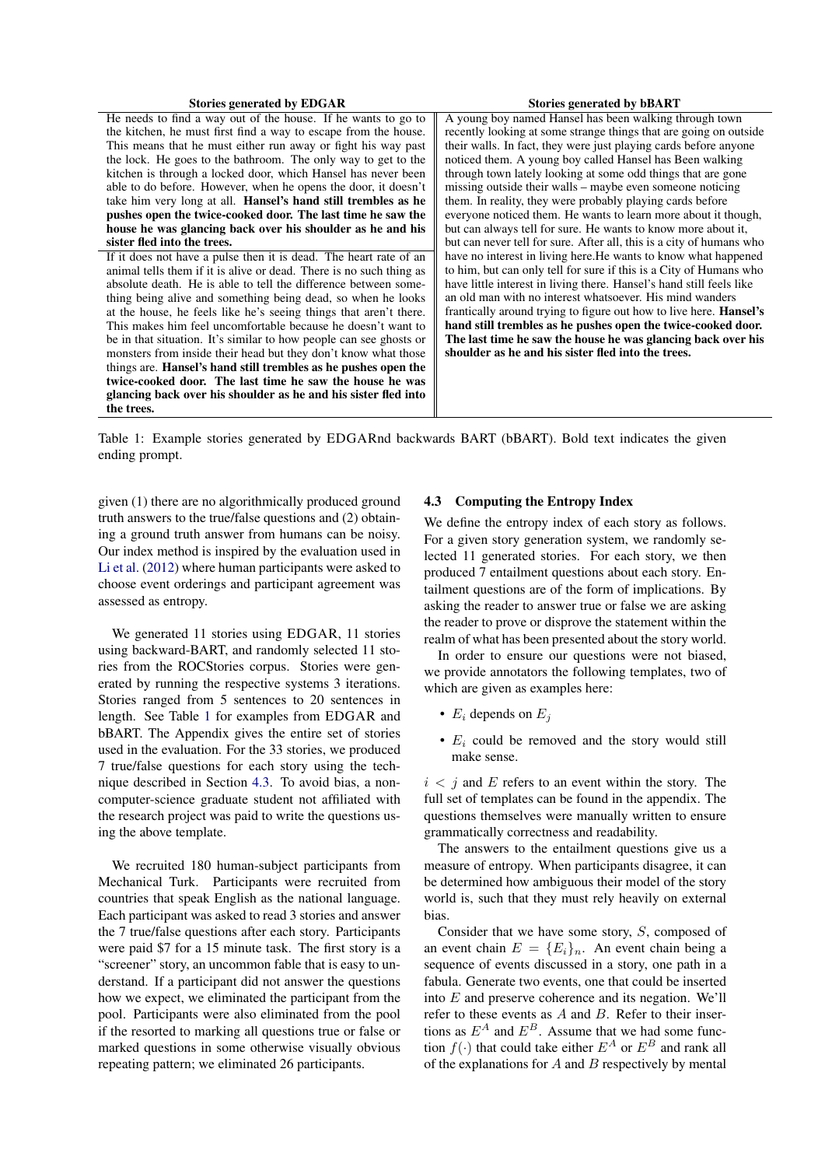<span id="page-4-0"></span>

| <b>Stories generated by EDGAR</b>                                    | <b>Stories generated by bBART</b>                                         |
|----------------------------------------------------------------------|---------------------------------------------------------------------------|
| He needs to find a way out of the house. If he wants to go to        | A young boy named Hansel has been walking through town                    |
| the kitchen, he must first find a way to escape from the house.      | recently looking at some strange things that are going on outside         |
| This means that he must either run away or fight his way past        | their walls. In fact, they were just playing cards before anyone          |
| the lock. He goes to the bathroom. The only way to get to the        | noticed them. A young boy called Hansel has Been walking                  |
| kitchen is through a locked door, which Hansel has never been        | through town lately looking at some odd things that are gone              |
| able to do before. However, when he opens the door, it doesn't       | missing outside their walls – maybe even someone noticing                 |
| take him very long at all. <b>Hansel's hand still trembles as he</b> | them. In reality, they were probably playing cards before                 |
| pushes open the twice-cooked door. The last time he saw the          | everyone noticed them. He wants to learn more about it though,            |
| house he was glancing back over his shoulder as he and his           | but can always tell for sure. He wants to know more about it,             |
| sister fled into the trees.                                          | but can never tell for sure. After all, this is a city of humans who      |
| If it does not have a pulse then it is dead. The heart rate of an    | have no interest in living here. He wants to know what happened           |
| animal tells them if it is alive or dead. There is no such thing as  | to him, but can only tell for sure if this is a City of Humans who        |
| absolute death. He is able to tell the difference between some-      | have little interest in living there. Hansel's hand still feels like      |
| thing being alive and something being dead, so when he looks         | an old man with no interest whatsoever. His mind wanders                  |
| at the house, he feels like he's seeing things that aren't there.    | frantically around trying to figure out how to live here. <b>Hansel's</b> |
| This makes him feel uncomfortable because he doesn't want to         | hand still trembles as he pushes open the twice-cooked door.              |
| be in that situation. It's similar to how people can see ghosts or   | The last time he saw the house he was glancing back over his              |
| monsters from inside their head but they don't know what those       | shoulder as he and his sister fled into the trees.                        |
| things are. Hansel's hand still trembles as he pushes open the       |                                                                           |
| twice-cooked door. The last time he saw the house he was             |                                                                           |
| glancing back over his shoulder as he and his sister fled into       |                                                                           |
| the trees.                                                           |                                                                           |
|                                                                      |                                                                           |

Table 1: Example stories generated by EDGARnd backwards BART (bBART). Bold text indicates the given ending prompt.

given (1) there are no algorithmically produced ground truth answers to the true/false questions and (2) obtaining a ground truth answer from humans can be noisy. Our index method is inspired by the evaluation used in [Li et al.](#page-6-12) [\(2012\)](#page-6-12) where human participants were asked to choose event orderings and participant agreement was assessed as entropy.

We generated 11 stories using EDGAR, 11 stories using backward-BART, and randomly selected 11 stories from the ROCStories corpus. Stories were generated by running the respective systems 3 iterations. Stories ranged from 5 sentences to 20 sentences in length. See Table [1](#page-4-0) for examples from EDGAR and bBART. The Appendix gives the entire set of stories used in the evaluation. For the 33 stories, we produced 7 true/false questions for each story using the technique described in Section [4.3.](#page-4-1) To avoid bias, a noncomputer-science graduate student not affiliated with the research project was paid to write the questions using the above template.

We recruited 180 human-subject participants from Mechanical Turk. Participants were recruited from countries that speak English as the national language. Each participant was asked to read 3 stories and answer the 7 true/false questions after each story. Participants were paid \$7 for a 15 minute task. The first story is a "screener" story, an uncommon fable that is easy to understand. If a participant did not answer the questions how we expect, we eliminated the participant from the pool. Participants were also eliminated from the pool if the resorted to marking all questions true or false or marked questions in some otherwise visually obvious repeating pattern; we eliminated 26 participants.

### <span id="page-4-1"></span>4.3 Computing the Entropy Index

We define the entropy index of each story as follows. For a given story generation system, we randomly selected 11 generated stories. For each story, we then produced 7 entailment questions about each story. Entailment questions are of the form of implications. By asking the reader to answer true or false we are asking the reader to prove or disprove the statement within the realm of what has been presented about the story world.

In order to ensure our questions were not biased, we provide annotators the following templates, two of which are given as examples here:

- $E_i$  depends on  $E_i$
- $E_i$  could be removed and the story would still make sense.

 $i < i$  and E refers to an event within the story. The full set of templates can be found in the appendix. The questions themselves were manually written to ensure grammatically correctness and readability.

The answers to the entailment questions give us a measure of entropy. When participants disagree, it can be determined how ambiguous their model of the story world is, such that they must rely heavily on external bias.

Consider that we have some story, S, composed of an event chain  $E = \{E_i\}_n$ . An event chain being a sequence of events discussed in a story, one path in a fabula. Generate two events, one that could be inserted into E and preserve coherence and its negation. We'll refer to these events as A and B. Refer to their insertions as  $E^A$  and  $E^B$ . Assume that we had some function  $f(\cdot)$  that could take either  $E^A$  or  $E^B$  and rank all of the explanations for  $A$  and  $B$  respectively by mental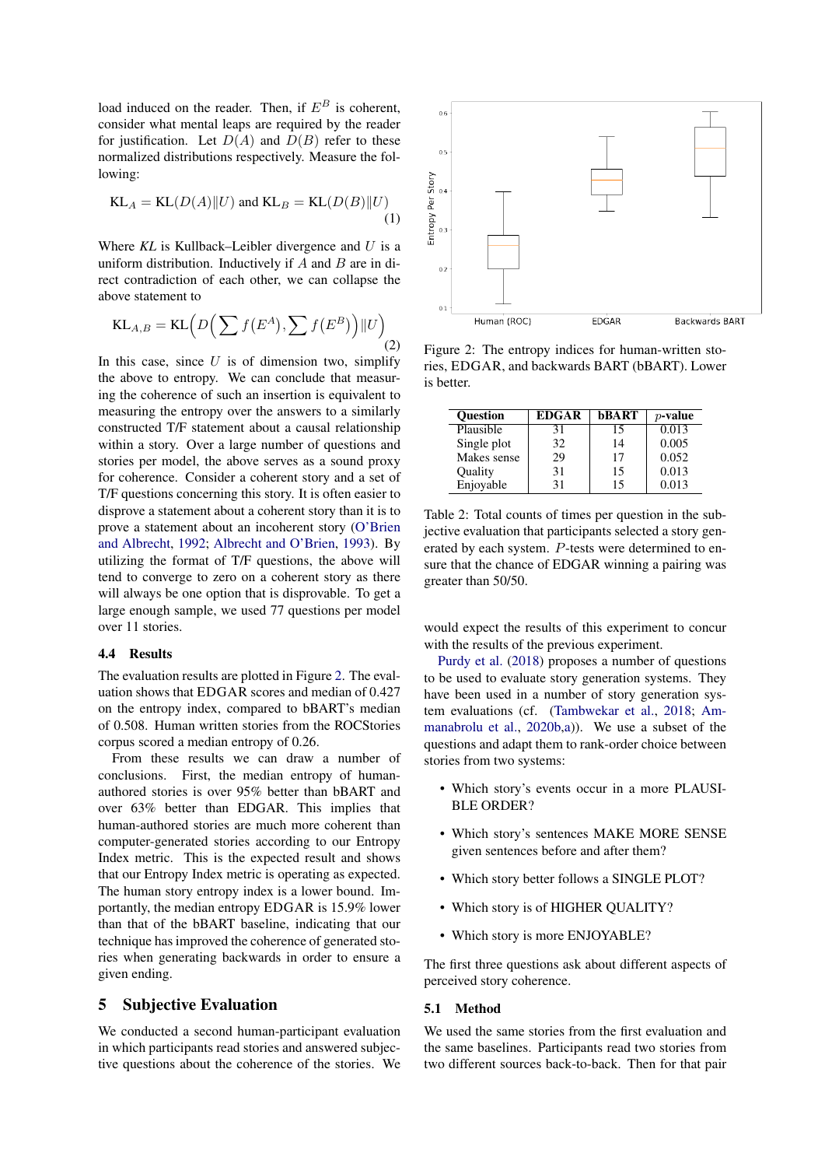load induced on the reader. Then, if  $E^B$  is coherent, consider what mental leaps are required by the reader for justification. Let  $D(A)$  and  $D(B)$  refer to these normalized distributions respectively. Measure the following:

$$
KL_A = KL(D(A)||U) \text{ and } KL_B = KL(D(B)||U)
$$
\n(1)

Where *KL* is Kullback–Leibler divergence and U is a uniform distribution. Inductively if  $A$  and  $B$  are in direct contradiction of each other, we can collapse the above statement to

$$
KL_{A,B} = KL\left(D\left(\sum f(E^A), \sum f(E^B)\right) || U\right)
$$
\n(2)

In this case, since  $U$  is of dimension two, simplify the above to entropy. We can conclude that measuring the coherence of such an insertion is equivalent to measuring the entropy over the answers to a similarly constructed T/F statement about a causal relationship within a story. Over a large number of questions and stories per model, the above serves as a sound proxy for coherence. Consider a coherent story and a set of T/F questions concerning this story. It is often easier to disprove a statement about a coherent story than it is to prove a statement about an incoherent story [\(O'Brien](#page-7-11) [and Albrecht,](#page-7-11) [1992;](#page-7-11) [Albrecht and O'Brien,](#page-6-13) [1993\)](#page-6-13). By utilizing the format of T/F questions, the above will tend to converge to zero on a coherent story as there will always be one option that is disprovable. To get a large enough sample, we used 77 questions per model over 11 stories.

### 4.4 Results

The evaluation results are plotted in Figure [2.](#page-5-0) The evaluation shows that EDGAR scores and median of 0.427 on the entropy index, compared to bBART's median of 0.508. Human written stories from the ROCStories corpus scored a median entropy of 0.26.

From these results we can draw a number of conclusions. First, the median entropy of humanauthored stories is over 95% better than bBART and over 63% better than EDGAR. This implies that human-authored stories are much more coherent than computer-generated stories according to our Entropy Index metric. This is the expected result and shows that our Entropy Index metric is operating as expected. The human story entropy index is a lower bound. Importantly, the median entropy EDGAR is 15.9% lower than that of the bBART baseline, indicating that our technique has improved the coherence of generated stories when generating backwards in order to ensure a given ending.

# 5 Subjective Evaluation

We conducted a second human-participant evaluation in which participants read stories and answered subjective questions about the coherence of the stories. We

<span id="page-5-0"></span>

Figure 2: The entropy indices for human-written stories, EDGAR, and backwards BART (bBART). Lower is better.

<span id="page-5-1"></span>

| <b>Ouestion</b> | <b>EDGAR</b> | bBART | $p$ -value |
|-----------------|--------------|-------|------------|
| Plausible       | 31           | 15    | 0.013      |
| Single plot     | 32           | 14    | 0.005      |
| Makes sense     | 29           | 17    | 0.052      |
| Ouality         | 31           | 15    | 0.013      |
| Enjoyable       | 31           | 15    | 0.013      |

Table 2: Total counts of times per question in the subjective evaluation that participants selected a story generated by each system. P-tests were determined to ensure that the chance of EDGAR winning a pairing was greater than 50/50.

would expect the results of this experiment to concur with the results of the previous experiment.

[Purdy et al.](#page-7-12) [\(2018\)](#page-7-12) proposes a number of questions to be used to evaluate story generation systems. They have been used in a number of story generation system evaluations (cf. [\(Tambwekar et al.,](#page-7-5) [2018;](#page-7-5) [Am](#page-6-6)[manabrolu et al.,](#page-6-6) [2020b](#page-6-6)[,a\)](#page-6-7)). We use a subset of the questions and adapt them to rank-order choice between stories from two systems:

- Which story's events occur in a more PLAUSI-BLE ORDER?
- Which story's sentences MAKE MORE SENSE given sentences before and after them?
- Which story better follows a SINGLE PLOT?
- Which story is of HIGHER QUALITY?
- Which story is more ENJOYABLE?

The first three questions ask about different aspects of perceived story coherence.

#### 5.1 Method

We used the same stories from the first evaluation and the same baselines. Participants read two stories from two different sources back-to-back. Then for that pair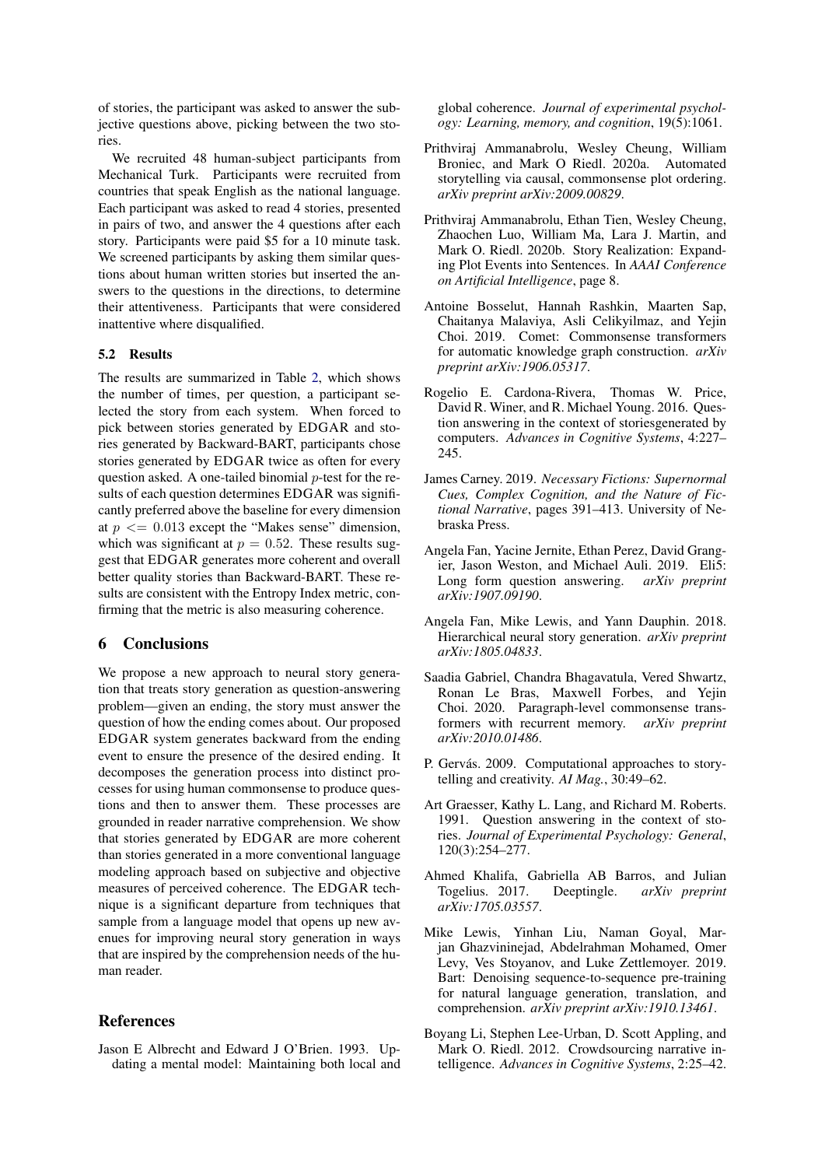of stories, the participant was asked to answer the subjective questions above, picking between the two stories.

We recruited 48 human-subject participants from Mechanical Turk. Participants were recruited from countries that speak English as the national language. Each participant was asked to read 4 stories, presented in pairs of two, and answer the 4 questions after each story. Participants were paid \$5 for a 10 minute task. We screened participants by asking them similar questions about human written stories but inserted the answers to the questions in the directions, to determine their attentiveness. Participants that were considered inattentive where disqualified.

# 5.2 Results

The results are summarized in Table [2,](#page-5-1) which shows the number of times, per question, a participant selected the story from each system. When forced to pick between stories generated by EDGAR and stories generated by Backward-BART, participants chose stories generated by EDGAR twice as often for every question asked. A one-tailed binomial  $p$ -test for the results of each question determines EDGAR was significantly preferred above the baseline for every dimension at  $p \leq 0.013$  except the "Makes sense" dimension, which was significant at  $p = 0.52$ . These results suggest that EDGAR generates more coherent and overall better quality stories than Backward-BART. These results are consistent with the Entropy Index metric, confirming that the metric is also measuring coherence.

# 6 Conclusions

We propose a new approach to neural story generation that treats story generation as question-answering problem—given an ending, the story must answer the question of how the ending comes about. Our proposed EDGAR system generates backward from the ending event to ensure the presence of the desired ending. It decomposes the generation process into distinct processes for using human commonsense to produce questions and then to answer them. These processes are grounded in reader narrative comprehension. We show that stories generated by EDGAR are more coherent than stories generated in a more conventional language modeling approach based on subjective and objective measures of perceived coherence. The EDGAR technique is a significant departure from techniques that sample from a language model that opens up new avenues for improving neural story generation in ways that are inspired by the comprehension needs of the human reader.

# References

<span id="page-6-13"></span>Jason E Albrecht and Edward J O'Brien. 1993. Updating a mental model: Maintaining both local and global coherence. *Journal of experimental psychology: Learning, memory, and cognition*, 19(5):1061.

- <span id="page-6-7"></span>Prithviraj Ammanabrolu, Wesley Cheung, William Broniec, and Mark O Riedl. 2020a. Automated storytelling via causal, commonsense plot ordering. *arXiv preprint arXiv:2009.00829*.
- <span id="page-6-6"></span>Prithviraj Ammanabrolu, Ethan Tien, Wesley Cheung, Zhaochen Luo, William Ma, Lara J. Martin, and Mark O. Riedl. 2020b. Story Realization: Expanding Plot Events into Sentences. In *AAAI Conference on Artificial Intelligence*, page 8.
- <span id="page-6-8"></span>Antoine Bosselut, Hannah Rashkin, Maarten Sap, Chaitanya Malaviya, Asli Celikyilmaz, and Yejin Choi. 2019. Comet: Commonsense transformers for automatic knowledge graph construction. *arXiv preprint arXiv:1906.05317*.
- <span id="page-6-10"></span>Rogelio E. Cardona-Rivera, Thomas W. Price, David R. Winer, and R. Michael Young. 2016. Question answering in the context of storiesgenerated by computers. *Advances in Cognitive Systems*, 4:227– 245.
- <span id="page-6-11"></span>James Carney. 2019. *Necessary Fictions: Supernormal Cues, Complex Cognition, and the Nature of Fictional Narrative*, pages 391–413. University of Nebraska Press.
- <span id="page-6-9"></span>Angela Fan, Yacine Jernite, Ethan Perez, David Grangier, Jason Weston, and Michael Auli. 2019. Eli5: Long form question answering. *arXiv preprint arXiv:1907.09190*.
- <span id="page-6-5"></span>Angela Fan, Mike Lewis, and Yann Dauphin. 2018. Hierarchical neural story generation. *arXiv preprint arXiv:1805.04833*.
- <span id="page-6-4"></span>Saadia Gabriel, Chandra Bhagavatula, Vered Shwartz, Ronan Le Bras, Maxwell Forbes, and Yejin Choi. 2020. Paragraph-level commonsense transformers with recurrent memory. *arXiv preprint arXiv:2010.01486*.
- <span id="page-6-1"></span>P. Gervás. 2009. Computational approaches to storytelling and creativity. *AI Mag.*, 30:49–62.
- <span id="page-6-3"></span>Art Graesser, Kathy L. Lang, and Richard M. Roberts. 1991. Question answering in the context of stories. *Journal of Experimental Psychology: General*, 120(3):254–277.
- <span id="page-6-2"></span>Ahmed Khalifa, Gabriella AB Barros, and Julian Togelius. 2017. Deeptingle. *arXiv preprint arXiv:1705.03557*.
- <span id="page-6-0"></span>Mike Lewis, Yinhan Liu, Naman Goyal, Marjan Ghazvininejad, Abdelrahman Mohamed, Omer Levy, Ves Stoyanov, and Luke Zettlemoyer. 2019. Bart: Denoising sequence-to-sequence pre-training for natural language generation, translation, and comprehension. *arXiv preprint arXiv:1910.13461*.
- <span id="page-6-12"></span>Boyang Li, Stephen Lee-Urban, D. Scott Appling, and Mark O. Riedl. 2012. Crowdsourcing narrative intelligence. *Advances in Cognitive Systems*, 2:25–42.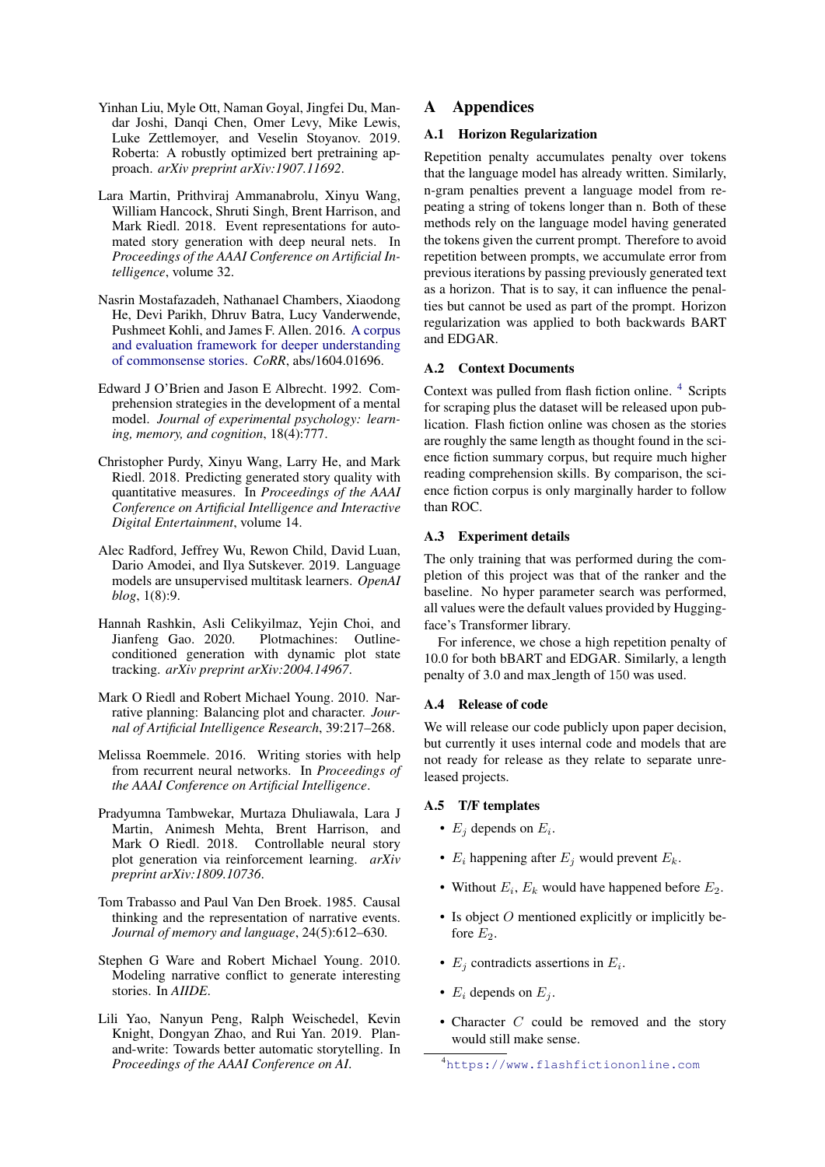- <span id="page-7-8"></span>Yinhan Liu, Myle Ott, Naman Goyal, Jingfei Du, Mandar Joshi, Danqi Chen, Omer Levy, Mike Lewis, Luke Zettlemoyer, and Veselin Stoyanov. 2019. Roberta: A robustly optimized bert pretraining approach. *arXiv preprint arXiv:1907.11692*.
- <span id="page-7-1"></span>Lara Martin, Prithviraj Ammanabrolu, Xinyu Wang, William Hancock, Shruti Singh, Brent Harrison, and Mark Riedl. 2018. Event representations for automated story generation with deep neural nets. In *Proceedings of the AAAI Conference on Artificial Intelligence*, volume 32.
- <span id="page-7-10"></span>Nasrin Mostafazadeh, Nathanael Chambers, Xiaodong He, Devi Parikh, Dhruv Batra, Lucy Vanderwende, Pushmeet Kohli, and James F. Allen. 2016. [A corpus](http://arxiv.org/abs/1604.01696) [and evaluation framework for deeper understanding](http://arxiv.org/abs/1604.01696) [of commonsense stories.](http://arxiv.org/abs/1604.01696) *CoRR*, abs/1604.01696.
- <span id="page-7-11"></span>Edward J O'Brien and Jason E Albrecht. 1992. Comprehension strategies in the development of a mental model. *Journal of experimental psychology: learning, memory, and cognition*, 18(4):777.
- <span id="page-7-12"></span>Christopher Purdy, Xinyu Wang, Larry He, and Mark Riedl. 2018. Predicting generated story quality with quantitative measures. In *Proceedings of the AAAI Conference on Artificial Intelligence and Interactive Digital Entertainment*, volume 14.
- <span id="page-7-9"></span>Alec Radford, Jeffrey Wu, Rewon Child, David Luan, Dario Amodei, and Ilya Sutskever. 2019. Language models are unsupervised multitask learners. *OpenAI blog*, 1(8):9.
- <span id="page-7-7"></span>Hannah Rashkin, Asli Celikyilmaz, Yejin Choi, and Jianfeng Gao. 2020. Plotmachines: Outlineconditioned generation with dynamic plot state tracking. *arXiv preprint arXiv:2004.14967*.
- <span id="page-7-3"></span>Mark O Riedl and Robert Michael Young. 2010. Narrative planning: Balancing plot and character. *Journal of Artificial Intelligence Research*, 39:217–268.
- <span id="page-7-0"></span>Melissa Roemmele. 2016. Writing stories with help from recurrent neural networks. In *Proceedings of the AAAI Conference on Artificial Intelligence*.
- <span id="page-7-5"></span>Pradyumna Tambwekar, Murtaza Dhuliawala, Lara J Martin, Animesh Mehta, Brent Harrison, and Mark O Riedl. 2018. Controllable neural story plot generation via reinforcement learning. *arXiv preprint arXiv:1809.10736*.
- <span id="page-7-2"></span>Tom Trabasso and Paul Van Den Broek. 1985. Causal thinking and the representation of narrative events. *Journal of memory and language*, 24(5):612–630.
- <span id="page-7-4"></span>Stephen G Ware and Robert Michael Young. 2010. Modeling narrative conflict to generate interesting stories. In *AIIDE*.
- <span id="page-7-6"></span>Lili Yao, Nanyun Peng, Ralph Weischedel, Kevin Knight, Dongyan Zhao, and Rui Yan. 2019. Planand-write: Towards better automatic storytelling. In *Proceedings of the AAAI Conference on AI*.

# A Appendices

# A.1 Horizon Regularization

Repetition penalty accumulates penalty over tokens that the language model has already written. Similarly, n-gram penalties prevent a language model from repeating a string of tokens longer than n. Both of these methods rely on the language model having generated the tokens given the current prompt. Therefore to avoid repetition between prompts, we accumulate error from previous iterations by passing previously generated text as a horizon. That is to say, it can influence the penalties but cannot be used as part of the prompt. Horizon regularization was applied to both backwards BART and EDGAR.

### A.2 Context Documents

Context was pulled from flash fiction online. [4](#page-7-13) Scripts for scraping plus the dataset will be released upon publication. Flash fiction online was chosen as the stories are roughly the same length as thought found in the science fiction summary corpus, but require much higher reading comprehension skills. By comparison, the science fiction corpus is only marginally harder to follow than ROC.

#### A.3 Experiment details

The only training that was performed during the completion of this project was that of the ranker and the baseline. No hyper parameter search was performed, all values were the default values provided by Huggingface's Transformer library.

For inference, we chose a high repetition penalty of 10.0 for both bBART and EDGAR. Similarly, a length penalty of 3.0 and max length of 150 was used.

# A.4 Release of code

We will release our code publicly upon paper decision, but currently it uses internal code and models that are not ready for release as they relate to separate unreleased projects.

#### A.5 T/F templates

- $E_j$  depends on  $E_i$ .
- $E_i$  happening after  $E_i$  would prevent  $E_k$ .
- Without  $E_i$ ,  $E_k$  would have happened before  $E_2$ .
- Is object  $O$  mentioned explicitly or implicitly before  $E_2$ .
- $E_j$  contradicts assertions in  $E_i$ .
- $E_i$  depends on  $E_i$ .
- Character C could be removed and the story would still make sense.

<span id="page-7-13"></span><sup>4</sup><https://www.flashfictiononline.com>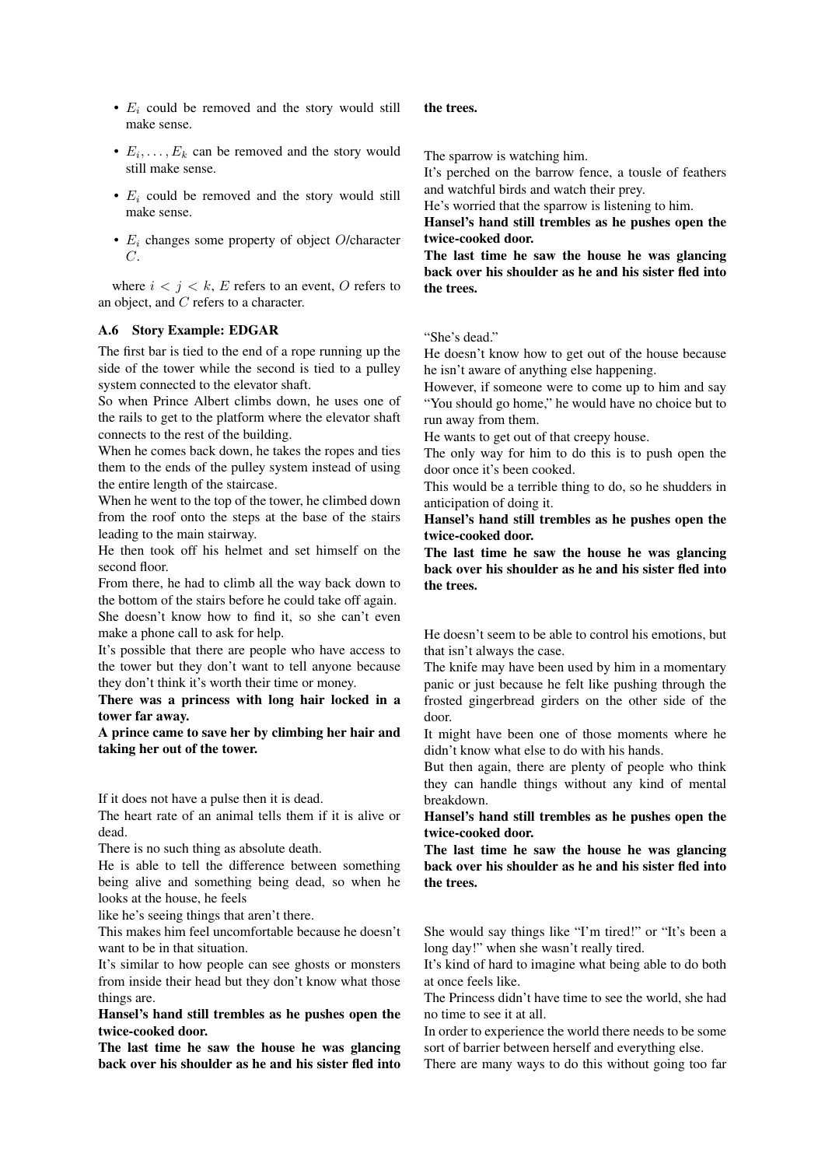- $E_i$  could be removed and the story would still make sense.
- $E_i, \ldots, E_k$  can be removed and the story would still make sense.
- $E_i$  could be removed and the story would still make sense.
- $E_i$  changes some property of object O/character  $C$ .

where  $i < j < k$ , E refers to an event, O refers to an object, and C refers to a character.

### A.6 Story Example: EDGAR

The first bar is tied to the end of a rope running up the side of the tower while the second is tied to a pulley system connected to the elevator shaft.

So when Prince Albert climbs down, he uses one of the rails to get to the platform where the elevator shaft connects to the rest of the building.

When he comes back down, he takes the ropes and ties them to the ends of the pulley system instead of using the entire length of the staircase.

When he went to the top of the tower, he climbed down from the roof onto the steps at the base of the stairs leading to the main stairway.

He then took off his helmet and set himself on the second floor.

From there, he had to climb all the way back down to the bottom of the stairs before he could take off again.

She doesn't know how to find it, so she can't even make a phone call to ask for help.

It's possible that there are people who have access to the tower but they don't want to tell anyone because they don't think it's worth their time or money.

There was a princess with long hair locked in a tower far away.

A prince came to save her by climbing her hair and taking her out of the tower.

If it does not have a pulse then it is dead.

The heart rate of an animal tells them if it is alive or dead.

There is no such thing as absolute death.

He is able to tell the difference between something being alive and something being dead, so when he looks at the house, he feels

like he's seeing things that aren't there.

This makes him feel uncomfortable because he doesn't want to be in that situation.

It's similar to how people can see ghosts or monsters from inside their head but they don't know what those things are.

Hansel's hand still trembles as he pushes open the twice-cooked door.

The last time he saw the house he was glancing back over his shoulder as he and his sister fled into

#### the trees.

The sparrow is watching him.

It's perched on the barrow fence, a tousle of feathers and watchful birds and watch their prey.

He's worried that the sparrow is listening to him.

Hansel's hand still trembles as he pushes open the twice-cooked door.

The last time he saw the house he was glancing back over his shoulder as he and his sister fled into the trees.

"She's dead."

He doesn't know how to get out of the house because he isn't aware of anything else happening.

However, if someone were to come up to him and say "You should go home," he would have no choice but to run away from them.

He wants to get out of that creepy house.

The only way for him to do this is to push open the door once it's been cooked.

This would be a terrible thing to do, so he shudders in anticipation of doing it.

Hansel's hand still trembles as he pushes open the twice-cooked door.

The last time he saw the house he was glancing back over his shoulder as he and his sister fled into the trees.

He doesn't seem to be able to control his emotions, but that isn't always the case.

The knife may have been used by him in a momentary panic or just because he felt like pushing through the frosted gingerbread girders on the other side of the door.

It might have been one of those moments where he didn't know what else to do with his hands.

But then again, there are plenty of people who think they can handle things without any kind of mental breakdown.

Hansel's hand still trembles as he pushes open the twice-cooked door.

The last time he saw the house he was glancing back over his shoulder as he and his sister fled into the trees.

She would say things like "I'm tired!" or "It's been a long day!" when she wasn't really tired.

It's kind of hard to imagine what being able to do both at once feels like.

The Princess didn't have time to see the world, she had no time to see it at all.

In order to experience the world there needs to be some sort of barrier between herself and everything else.

There are many ways to do this without going too far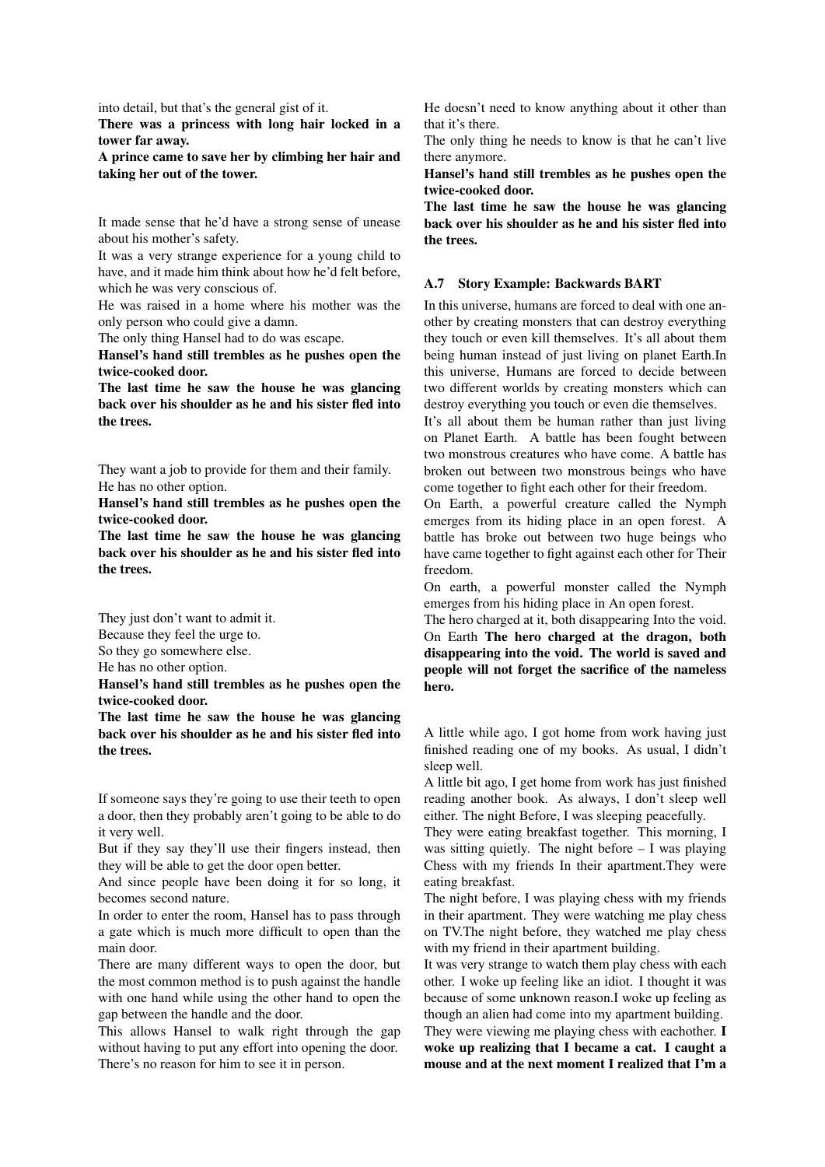into detail, but that's the general gist of it.

There was a princess with long hair locked in a tower far away.

A prince came to save her by climbing her hair and taking her out of the tower.

It made sense that he'd have a strong sense of unease about his mother's safety.

It was a very strange experience for a young child to have, and it made him think about how he'd felt before, which he was very conscious of.

He was raised in a home where his mother was the only person who could give a damn.

The only thing Hansel had to do was escape.

Hansel's hand still trembles as he pushes open the twice-cooked door.

The last time he saw the house he was glancing back over his shoulder as he and his sister fled into the trees.

They want a job to provide for them and their family. He has no other option.

Hansel's hand still trembles as he pushes open the twice-cooked door.

The last time he saw the house he was glancing back over his shoulder as he and his sister fled into the trees.

They just don't want to admit it.

Because they feel the urge to.

So they go somewhere else.

He has no other option.

Hansel's hand still trembles as he pushes open the twice-cooked door.

The last time he saw the house he was glancing back over his shoulder as he and his sister fled into the trees.

If someone says they're going to use their teeth to open a door, then they probably aren't going to be able to do it very well.

But if they say they'll use their fingers instead, then they will be able to get the door open better.

And since people have been doing it for so long, it becomes second nature.

In order to enter the room, Hansel has to pass through a gate which is much more difficult to open than the main door.

There are many different ways to open the door, but the most common method is to push against the handle with one hand while using the other hand to open the gap between the handle and the door.

This allows Hansel to walk right through the gap without having to put any effort into opening the door. There's no reason for him to see it in person.

He doesn't need to know anything about it other than that it's there.

The only thing he needs to know is that he can't live there anymore.

Hansel's hand still trembles as he pushes open the twice-cooked door.

The last time he saw the house he was glancing back over his shoulder as he and his sister fled into the trees.

#### A.7 Story Example: Backwards BART

In this universe, humans are forced to deal with one another by creating monsters that can destroy everything they touch or even kill themselves. It's all about them being human instead of just living on planet Earth.In this universe, Humans are forced to decide between two different worlds by creating monsters which can destroy everything you touch or even die themselves.

It's all about them be human rather than just living on Planet Earth. A battle has been fought between two monstrous creatures who have come. A battle has broken out between two monstrous beings who have come together to fight each other for their freedom.

On Earth, a powerful creature called the Nymph emerges from its hiding place in an open forest. A battle has broke out between two huge beings who have came together to fight against each other for Their freedom.

On earth, a powerful monster called the Nymph emerges from his hiding place in An open forest.

The hero charged at it, both disappearing Into the void. On Earth The hero charged at the dragon, both disappearing into the void. The world is saved and people will not forget the sacrifice of the nameless hero.

A little while ago, I got home from work having just finished reading one of my books. As usual, I didn't sleep well.

A little bit ago, I get home from work has just finished reading another book. As always, I don't sleep well either. The night Before, I was sleeping peacefully.

They were eating breakfast together. This morning, I was sitting quietly. The night before  $- I$  was playing Chess with my friends In their apartment.They were eating breakfast.

The night before, I was playing chess with my friends in their apartment. They were watching me play chess on TV.The night before, they watched me play chess with my friend in their apartment building.

It was very strange to watch them play chess with each other. I woke up feeling like an idiot. I thought it was because of some unknown reason.I woke up feeling as though an alien had come into my apartment building.

They were viewing me playing chess with eachother. I woke up realizing that I became a cat. I caught a mouse and at the next moment I realized that I'm a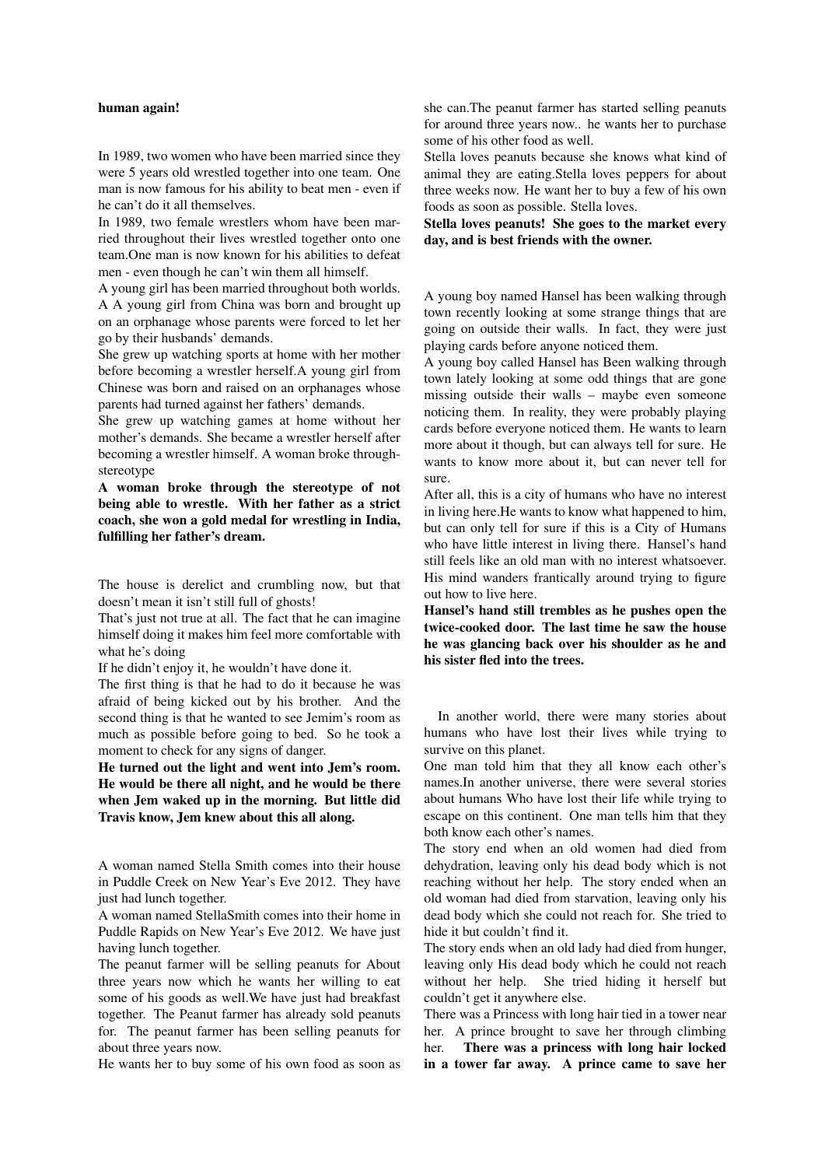#### human again!

In 1989, two women who have been married since they were 5 years old wrestled together into one team. One man is now famous for his ability to beat men - even if he can't do it all themselves.

In 1989, two female wrestlers whom have been married throughout their lives wrestled together onto one team.One man is now known for his abilities to defeat men - even though he can't win them all himself.

A young girl has been married throughout both worlds. A A young girl from China was born and brought up on an orphanage whose parents were forced to let her go by their husbands' demands.

She grew up watching sports at home with her mother before becoming a wrestler herself.A young girl from Chinese was born and raised on an orphanages whose parents had turned against her fathers' demands.

She grew up watching games at home without her mother's demands. She became a wrestler herself after becoming a wrestler himself. A woman broke throughstereotype

A woman broke through the stereotype of not being able to wrestle. With her father as a strict coach, she won a gold medal for wrestling in India, fulfilling her father's dream.

The house is derelict and crumbling now, but that doesn't mean it isn't still full of ghosts!

That's just not true at all. The fact that he can imagine himself doing it makes him feel more comfortable with what he's doing

If he didn't enjoy it, he wouldn't have done it.

The first thing is that he had to do it because he was afraid of being kicked out by his brother. And the second thing is that he wanted to see Jemim's room as much as possible before going to bed. So he took a moment to check for any signs of danger.

He turned out the light and went into Jem's room. He would be there all night, and he would be there when Jem waked up in the morning. But little did Travis know, Jem knew about this all along.

A woman named Stella Smith comes into their house in Puddle Creek on New Year's Eve 2012. They have just had lunch together.

A woman named StellaSmith comes into their home in Puddle Rapids on New Year's Eve 2012. We have just having lunch together.

The peanut farmer will be selling peanuts for About three years now which he wants her willing to eat some of his goods as well.We have just had breakfast together. The Peanut farmer has already sold peanuts for. The peanut farmer has been selling peanuts for about three years now.

He wants her to buy some of his own food as soon as

she can.The peanut farmer has started selling peanuts for around three years now.. he wants her to purchase some of his other food as well.

Stella loves peanuts because she knows what kind of animal they are eating.Stella loves peppers for about three weeks now. He want her to buy a few of his own foods as soon as possible. Stella loves.

Stella loves peanuts! She goes to the market every day, and is best friends with the owner.

A young boy named Hansel has been walking through town recently looking at some strange things that are going on outside their walls. In fact, they were just playing cards before anyone noticed them.

A young boy called Hansel has Been walking through town lately looking at some odd things that are gone missing outside their walls – maybe even someone noticing them. In reality, they were probably playing cards before everyone noticed them. He wants to learn more about it though, but can always tell for sure. He wants to know more about it, but can never tell for sure.

After all, this is a city of humans who have no interest in living here.He wants to know what happened to him, but can only tell for sure if this is a City of Humans who have little interest in living there. Hansel's hand still feels like an old man with no interest whatsoever. His mind wanders frantically around trying to figure out how to live here.

Hansel's hand still trembles as he pushes open the twice-cooked door. The last time he saw the house he was glancing back over his shoulder as he and his sister fled into the trees.

In another world, there were many stories about humans who have lost their lives while trying to survive on this planet.

One man told him that they all know each other's names.In another universe, there were several stories about humans Who have lost their life while trying to escape on this continent. One man tells him that they both know each other's names.

The story end when an old women had died from dehydration, leaving only his dead body which is not reaching without her help. The story ended when an old woman had died from starvation, leaving only his dead body which she could not reach for. She tried to hide it but couldn't find it.

The story ends when an old lady had died from hunger, leaving only His dead body which he could not reach without her help. She tried hiding it herself but couldn't get it anywhere else.

There was a Princess with long hair tied in a tower near her. A prince brought to save her through climbing her. There was a princess with long hair locked in a tower far away. A prince came to save her